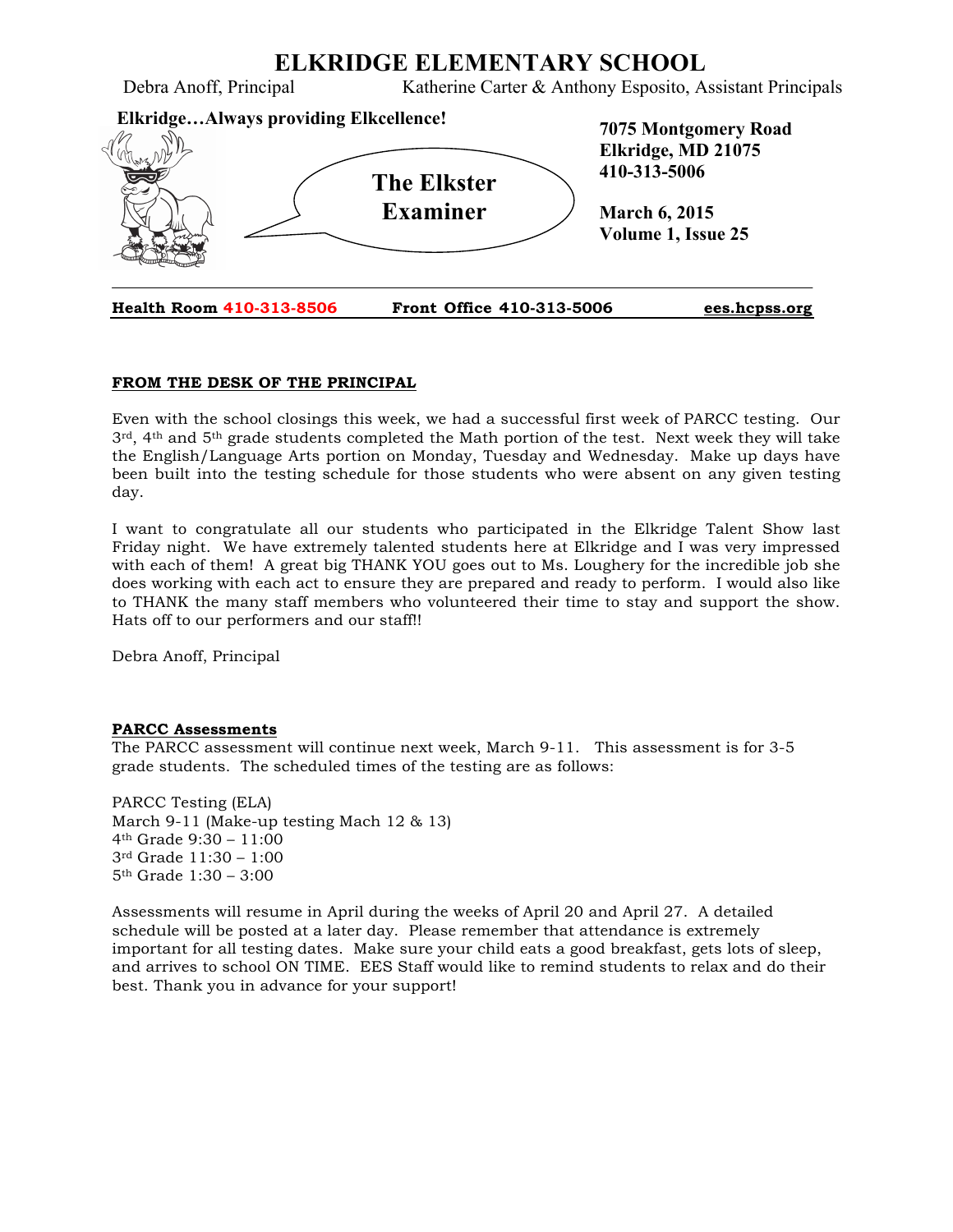

# **FROM THE DESK OF THE PRINCIPAL**

Even with the school closings this week, we had a successful first week of PARCC testing. Our 3rd, 4th and 5th grade students completed the Math portion of the test. Next week they will take the English/Language Arts portion on Monday, Tuesday and Wednesday. Make up days have been built into the testing schedule for those students who were absent on any given testing day.

I want to congratulate all our students who participated in the Elkridge Talent Show last Friday night. We have extremely talented students here at Elkridge and I was very impressed with each of them! A great big THANK YOU goes out to Ms. Loughery for the incredible job she does working with each act to ensure they are prepared and ready to perform. I would also like to THANK the many staff members who volunteered their time to stay and support the show. Hats off to our performers and our staff!!

Debra Anoff, Principal

#### **PARCC Assessments**

The PARCC assessment will continue next week, March 9-11. This assessment is for 3-5 grade students. The scheduled times of the testing are as follows:

PARCC Testing (ELA) March 9-11 (Make-up testing Mach 12 & 13) 4th Grade 9:30 – 11:00 3rd Grade 11:30 – 1:00 5th Grade 1:30 – 3:00

Assessments will resume in April during the weeks of April 20 and April 27. A detailed schedule will be posted at a later day. Please remember that attendance is extremely important for all testing dates. Make sure your child eats a good breakfast, gets lots of sleep, and arrives to school ON TIME. EES Staff would like to remind students to relax and do their best. Thank you in advance for your support!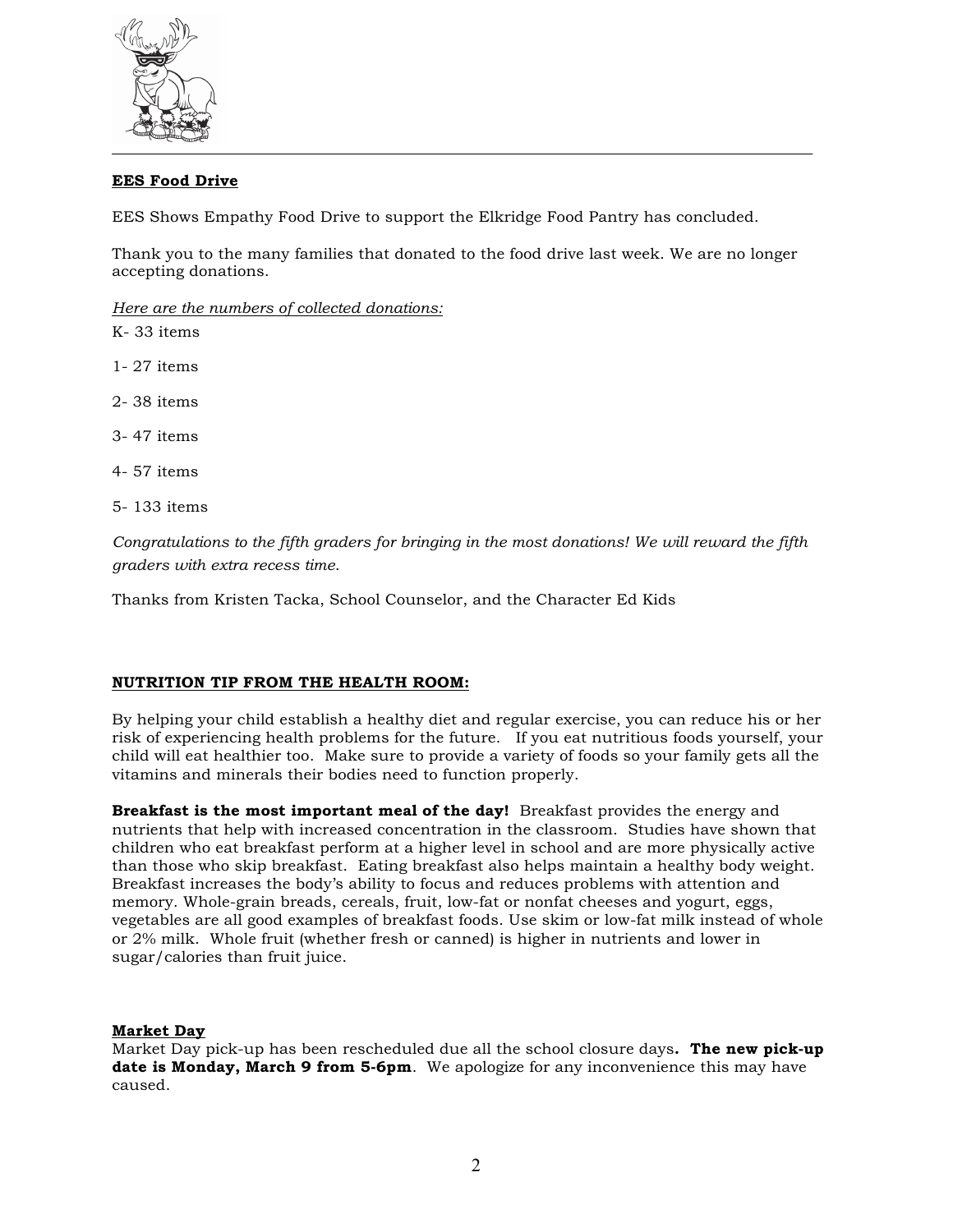

# **EES Food Drive**

EES Shows Empathy Food Drive to support the Elkridge Food Pantry has concluded.

Thank you to the many families that donated to the food drive last week. We are no longer accepting donations.

*Here are the numbers of collected donations:*

- K- 33 items
- 1- 27 items
- 2- 38 items
- 3- 47 items
- 4- 57 items
- 5- 133 items

*Congratulations to the fifth graders for bringing in the most donations! We will reward the fifth graders with extra recess time*.

Thanks from Kristen Tacka, School Counselor, and the Character Ed Kids

#### **NUTRITION TIP FROM THE HEALTH ROOM:**

By helping your child establish a healthy diet and regular exercise, you can reduce his or her risk of experiencing health problems for the future. If you eat nutritious foods yourself, your child will eat healthier too. Make sure to provide a variety of foods so your family gets all the vitamins and minerals their bodies need to function properly.

**Breakfast is the most important meal of the day!** Breakfast provides the energy and nutrients that help with increased concentration in the classroom. Studies have shown that children who eat breakfast perform at a higher level in school and are more physically active than those who skip breakfast. Eating breakfast also helps maintain a healthy body weight. Breakfast increases the body's ability to focus and reduces problems with attention and memory. Whole-grain breads, cereals, fruit, low-fat or nonfat cheeses and yogurt, eggs, vegetables are all good examples of breakfast foods. Use skim or low-fat milk instead of whole or 2% milk. Whole fruit (whether fresh or canned) is higher in nutrients and lower in sugar/calories than fruit juice.

#### **Market Day**

Market Day pick-up has been rescheduled due all the school closure days**. The new pick-up date is Monday, March 9 from 5-6pm**. We apologize for any inconvenience this may have caused.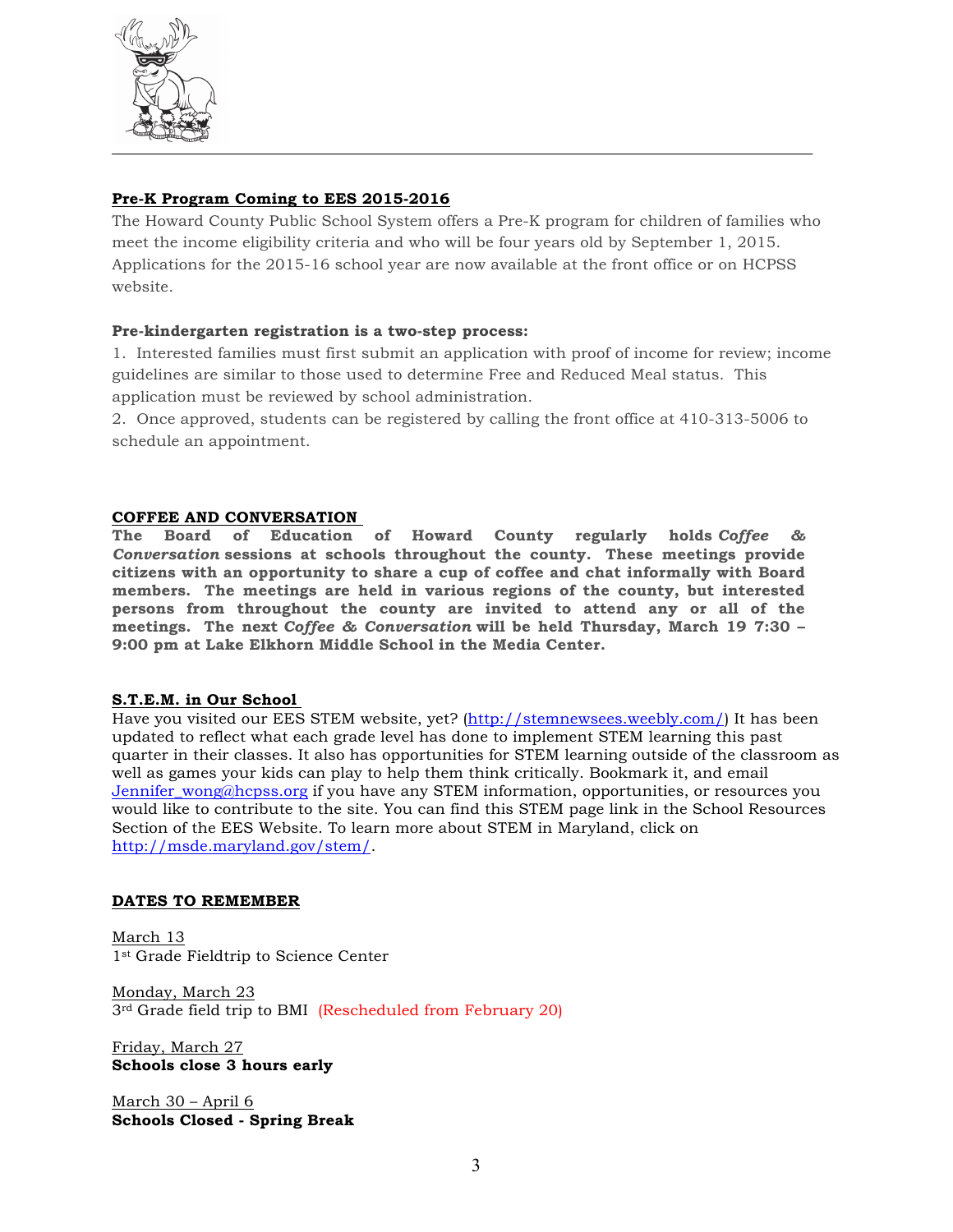

# **Pre-K Program Coming to EES 2015-2016**

The Howard County Public School System offers a Pre-K program for children of families who meet the income eligibility criteria and who will be four years old by September 1, 2015. Applications for the 2015-16 school year are now available at the front office or on HCPSS website.

# **Pre-kindergarten registration is a two-step process:**

1. Interested families must first submit an application with proof of income for review; income guidelines are similar to those used to determine Free and Reduced Meal status. This application must be reviewed by school administration.

2. Once approved, students can be registered by calling the front office at 410-313-5006 to schedule an appointment.

# **COFFEE AND CONVERSATION**

**The Board of Education of Howard County regularly holds** *Coffee & Conversation* **sessions at schools throughout the county. These meetings provide citizens with an opportunity to share a cup of coffee and chat informally with Board members. The meetings are held in various regions of the county, but interested persons from throughout the county are invited to attend any or all of the meetings. The next** *Coffee & Conversation* **will be held Thursday, March 19 7:30 – 9:00 pm at Lake Elkhorn Middle School in the Media Center.**

# **S.T.E.M. in Our School**

Have you visited our EES STEM website, yet? (http://stemnewsees.weebly.com/) It has been updated to reflect what each grade level has done to implement STEM learning this past quarter in their classes. It also has opportunities for STEM learning outside of the classroom as well as games your kids can play to help them think critically. Bookmark it, and email Jennifer\_wong@hcpss.org if you have any STEM information, opportunities, or resources you would like to contribute to the site. You can find this STEM page link in the School Resources Section of the EES Website. To learn more about STEM in Maryland, click on http://msde.maryland.gov/stem/.

# **DATES TO REMEMBER**

March 13 1st Grade Fieldtrip to Science Center

Monday, March 23 3rd Grade field trip to BMI (Rescheduled from February 20)

Friday, March 27 **Schools close 3 hours early**

March 30 – April 6 **Schools Closed - Spring Break**